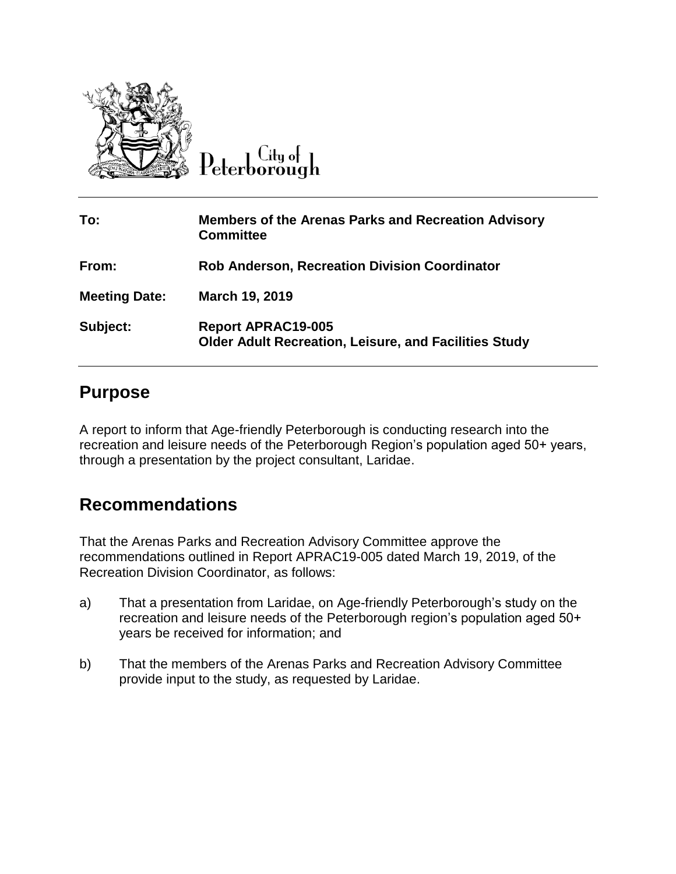

 $C$ ity of Peterborough

| To:                  | <b>Members of the Arenas Parks and Recreation Advisory</b><br><b>Committee</b>            |
|----------------------|-------------------------------------------------------------------------------------------|
| From:                | <b>Rob Anderson, Recreation Division Coordinator</b>                                      |
| <b>Meeting Date:</b> | March 19, 2019                                                                            |
| Subject:             | <b>Report APRAC19-005</b><br><b>Older Adult Recreation, Leisure, and Facilities Study</b> |

## **Purpose**

A report to inform that Age-friendly Peterborough is conducting research into the recreation and leisure needs of the Peterborough Region's population aged 50+ years, through a presentation by the project consultant, Laridae.

## **Recommendations**

That the Arenas Parks and Recreation Advisory Committee approve the recommendations outlined in Report APRAC19-005 dated March 19, 2019, of the Recreation Division Coordinator, as follows:

- a) That a presentation from Laridae, on Age-friendly Peterborough's study on the recreation and leisure needs of the Peterborough region's population aged 50+ years be received for information; and
- b) That the members of the Arenas Parks and Recreation Advisory Committee provide input to the study, as requested by Laridae.